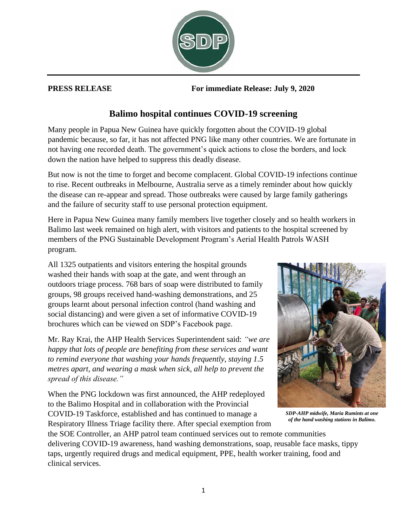

**PRESS RELEASE For immediate Release: July 9, 2020**

## **Balimo hospital continues COVID-19 screening**

Many people in Papua New Guinea have quickly forgotten about the COVID-19 global pandemic because, so far, it has not affected PNG like many other countries. We are fortunate in not having one recorded death. The government's quick actions to close the borders, and lock down the nation have helped to suppress this deadly disease.

But now is not the time to forget and become complacent. Global COVID-19 infections continue to rise. Recent outbreaks in Melbourne, Australia serve as a timely reminder about how quickly the disease can re-appear and spread. Those outbreaks were caused by large family gatherings and the failure of security staff to use personal protection equipment.

Here in Papua New Guinea many family members live together closely and so health workers in Balimo last week remained on high alert, with visitors and patients to the hospital screened by members of the PNG Sustainable Development Program's Aerial Health Patrols WASH program.

All 1325 outpatients and visitors entering the hospital grounds washed their hands with soap at the gate, and went through an outdoors triage process. 768 bars of soap were distributed to family groups, 98 groups received hand-washing demonstrations, and 25 groups learnt about personal infection control (hand washing and social distancing) and were given a set of informative COVID-19 brochures which can be viewed on SDP's Facebook page.

Mr. Ray Krai, the AHP Health Services Superintendent said: *"we are happy that lots of people are benefiting from these services and want to remind everyone that washing your hands frequently, staying 1.5 metres apart, and wearing a mask when sick, all help to prevent the spread of this disease."*

When the PNG lockdown was first announced, the AHP redeployed to the Balimo Hospital and in collaboration with the Provincial COVID-19 Taskforce, established and has continued to manage a Respiratory Illness Triage facility there. After special exemption from



*SDP-AHP midwife, Maria Rumints at one of the hand washing stations in Balimo.*

the SOE Controller, an AHP patrol team continued services out to remote communities delivering COVID-19 awareness, hand washing demonstrations, soap, reusable face masks, tippy taps, urgently required drugs and medical equipment, PPE, health worker training, food and clinical services.